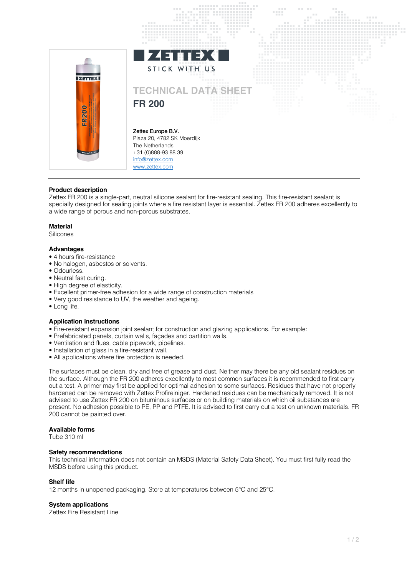

# **Product description**

Zettex FR 200 is a single-part, neutral silicone sealant for fire-resistant sealing. This fire-resistant sealant is specially designed for sealing joints where a fire resistant layer is essential. Zettex FR 200 adheres excellently to a wide range of porous and non-porous substrates.

## **Material**

Silicones

## **Advantages**

- 4 hours fire-resistance
- No halogen, asbestos or solvents.
- Odourless.
- Neutral fast curing.
- High degree of elasticity.
- Excellent primer-free adhesion for a wide range of construction materials
- Very good resistance to UV, the weather and ageing.
- Long life.

# **Application instructions**

- Fire-resistant expansion joint sealant for construction and glazing applications. For example:
- Prefabricated panels, curtain walls, façades and partition walls.
- Ventilation and flues, cable pipework, pipelines.
- Installation of glass in a fire-resistant wall.
- All applications where fire protection is needed.

The surfaces must be clean, dry and free of grease and dust. Neither may there be any old sealant residues on the surface. Although the FR 200 adheres excellently to most common surfaces it is recommended to first carry out a test. A primer may first be applied for optimal adhesion to some surfaces. Residues that have not properly hardened can be removed with Zettex Profireiniger. Hardened residues can be mechanically removed. It is not advised to use Zettex FR 200 on bituminous surfaces or on building materials on which oil substances are present. No adhesion possible to PE, PP and PTFE. It is advised to first carry out a test on unknown materials. FR 200 cannot be painted over.

## **Available forms**

Tube 310 ml

#### **Safety recommendations**

This technical information does not contain an MSDS (Material Safety Data Sheet). You must first fully read the MSDS before using this product.

#### **Shelf life**

12 months in unopened packaging. Store at temperatures between 5°C and 25°C.

# **System applications**

Zettex Fire Resistant Line